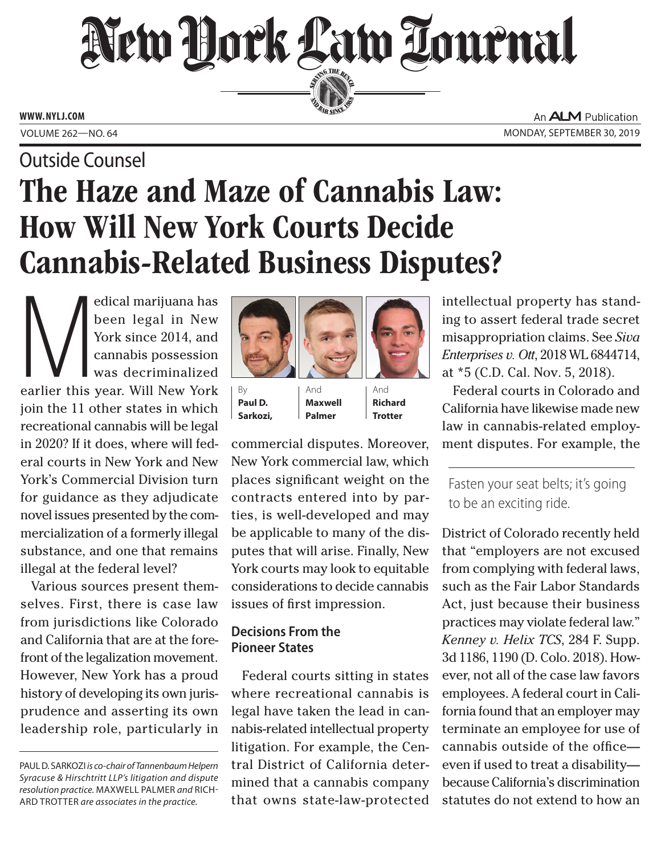# New Hork Law Lournal SERVING THE BEN

**ED BAR SINCE 188** 

**www. NYLJ.com**

Outside Counsel

An **ALM** Publication VOLUME 262—NO. 64 MONDAY, SEPTEMBER 30, 2019

## The Haze and Maze of Cannabis Law: How Will New York Courts Decide Cannabis-Related Business Disputes?

edical marijuana has<br>
been legal in New<br>
York since 2014, and<br>
cannabis possession<br>
was decriminalized<br>
earlier this year. Will New York been legal in New York since 2014, and cannabis possession was decriminalized join the 11 other states in which recreational cannabis will be legal in 2020? If it does, where will federal courts in New York and New York's Commercial Division turn for guidance as they adjudicate novel issues presented by the commercialization of a formerly illegal substance, and one that remains illegal at the federal level?

Various sources present themselves. First, there is case law from jurisdictions like Colorado and California that are at the forefront of the legalization movement. However, New York has a proud history of developing its own jurisprudence and asserting its own leadership role, particularly in



And **Maxwell Palmer**

By **Paul D. Sarkozi,**

And **Richard Trotter**

commercial disputes. Moreover, New York commercial law, which places significant weight on the contracts entered into by parties, is well-developed and may be applicable to many of the disputes that will arise. Finally, New York courts may look to equitable considerations to decide cannabis issues of first impression.

## **Decisions From the Pioneer States**

Federal courts sitting in states where recreational cannabis is legal have taken the lead in cannabis-related intellectual property litigation. For example, the Central District of California determined that a cannabis company that owns state-law-protected

intellectual property has standing to assert federal trade secret misappropriation claims. See *Siva Enterprises v. Ott*, 2018 WL 6844714, at \*5 (C.D. Cal. Nov. 5, 2018).

Federal courts in Colorado and California have likewise made new law in cannabis-related employment disputes. For example, the

Fasten your seat belts; it's going to be an exciting ride.

District of Colorado recently held that "employers are not excused from complying with federal laws, such as the Fair Labor Standards Act, just because their business practices may violate federal law." *Kenney v. Helix TCS*, 284 F. Supp. 3d 1186, 1190 (D. Colo. 2018). However, not all of the case law favors employees. A federal court in California found that an employer may terminate an employee for use of cannabis outside of the office even if used to treat a disability because California's discrimination statutes do not extend to how an

Paul D. Sarkozi *is co-chair of Tannenbaum Helpern Syracuse & Hirschtritt LLP's litigation and dispute resolution practice.* Maxwell Palmer *and* Rich-ARD TROTTER are associates in the practice.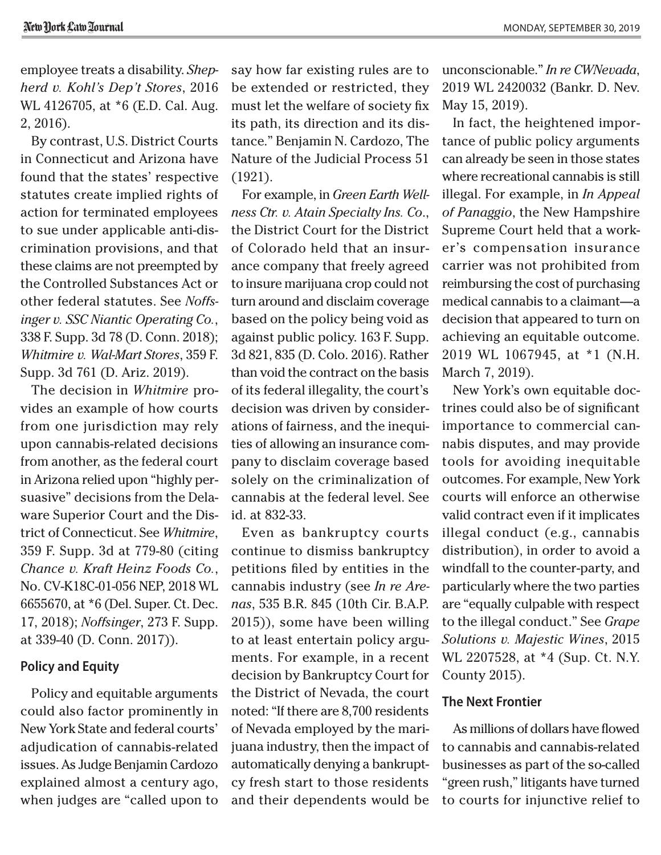employee treats a disability. *Shepherd v. Kohl's Dep't Stores*, 2016 WL 4126705, at \*6 (E.D. Cal. Aug. 2, 2016).

By contrast, U.S. District Courts in Connecticut and Arizona have found that the states' respective statutes create implied rights of action for terminated employees to sue under applicable anti-discrimination provisions, and that these claims are not preempted by the Controlled Substances Act or other federal statutes. See *Noffsinger v. SSC Niantic Operating Co.*, 338 F. Supp. 3d 78 (D. Conn. 2018); *Whitmire v. Wal-Mart Stores*, 359 F. Supp. 3d 761 (D. Ariz. 2019).

The decision in *Whitmire* provides an example of how courts from one jurisdiction may rely upon cannabis-related decisions from another, as the federal court in Arizona relied upon "highly persuasive" decisions from the Delaware Superior Court and the District of Connecticut. See *Whitmire*, 359 F. Supp. 3d at 779-80 (citing *Chance v. Kraft Heinz Foods Co.*, No. CV-K18C-01-056 NEP, 2018 WL 6655670, at \*6 (Del. Super. Ct. Dec. 17, 2018); *Noffsinger*, 273 F. Supp. at 339-40 (D. Conn. 2017)).

#### **Policy and Equity**

Policy and equitable arguments could also factor prominently in New York State and federal courts' adjudication of cannabis-related issues. As Judge Benjamin Cardozo explained almost a century ago, when judges are "called upon to

say how far existing rules are to be extended or restricted, they must let the welfare of society fix its path, its direction and its distance." Benjamin N. Cardozo, The Nature of the Judicial Process 51 (1921).

For example, in *Green Earth Wellness Ctr. v. Atain Specialty Ins. Co*., the District Court for the District of Colorado held that an insurance company that freely agreed to insure marijuana crop could not turn around and disclaim coverage based on the policy being void as against public policy. 163 F. Supp. 3d 821, 835 (D. Colo. 2016). Rather than void the contract on the basis of its federal illegality, the court's decision was driven by considerations of fairness, and the inequities of allowing an insurance company to disclaim coverage based solely on the criminalization of cannabis at the federal level. See id. at 832-33.

Even as bankruptcy courts continue to dismiss bankruptcy petitions filed by entities in the cannabis industry (see *In re Arenas*, 535 B.R. 845 (10th Cir. B.A.P. 2015)), some have been willing to at least entertain policy arguments. For example, in a recent decision by Bankruptcy Court for the District of Nevada, the court noted: "If there are 8,700 residents of Nevada employed by the marijuana industry, then the impact of automatically denying a bankruptcy fresh start to those residents and their dependents would be

unconscionable." *In re CWNevada*, 2019 WL 2420032 (Bankr. D. Nev. May 15, 2019).

In fact, the heightened importance of public policy arguments can already be seen in those states where recreational cannabis is still illegal. For example, in *In Appeal of Panaggio*, the New Hampshire Supreme Court held that a worker's compensation insurance carrier was not prohibited from reimbursing the cost of purchasing medical cannabis to a claimant—a decision that appeared to turn on achieving an equitable outcome. 2019 WL 1067945, at \*1 (N.H. March 7, 2019).

New York's own equitable doctrines could also be of significant importance to commercial cannabis disputes, and may provide tools for avoiding inequitable outcomes. For example, New York courts will enforce an otherwise valid contract even if it implicates illegal conduct (e.g., cannabis distribution), in order to avoid a windfall to the counter-party, and particularly where the two parties are "equally culpable with respect to the illegal conduct." See *Grape Solutions v. Majestic Wines*, 2015 WL 2207528, at \*4 (Sup. Ct. N.Y. County 2015).

### **The Next Frontier**

As millions of dollars have flowed to cannabis and cannabis-related businesses as part of the so-called "green rush," litigants have turned to courts for injunctive relief to